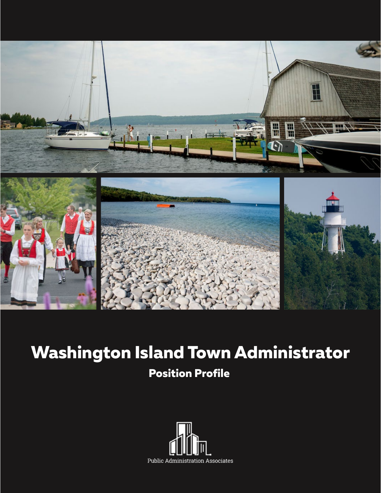

### **Washington Island Town Administrator**

#### **Position Profile**

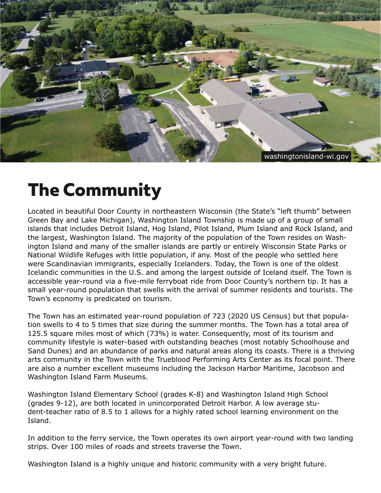

## **The Community**

Located in beautiful Door County in northeastern Wisconsin (the State's "left thumb" between Green Bay and Lake Michigan), Washington Island Township is made up of a group of small islands that includes Detroit Island, Hog Island, Pilot Island, Plum Island and Rock Island, and the largest, Washington Island. The majority of the population of the Town resides on Washington Island and many of the smaller islands are partly or entirely Wisconsin State Parks or National Wildlife Refuges with little population, if any. Most of the people who settled here were Scandinavian immigrants, especially Icelanders. Today, the Town is one of the oldest Icelandic communities in the U.S. and among the largest outside of Iceland itself. The Town is accessible year-round via a five-mile ferryboat ride from Door County's northern tip. It has a small year-round population that swells with the arrival of summer residents and tourists. The Town's economy is predicated on tourism.

The Town has an estimated year-round population of 723 (2020 US Census) but that population swells to 4 to 5 times that size during the summer months. The Town has a total area of 125.5 square miles most of which (73%) is water. Consequently, most of its tourism and community lifestyle is water-based with outstanding beaches (most notably Schoolhouse and Sand Dunes) and an abundance of parks and natural areas along its coasts. There is a thriving arts community in the Town with the Trueblood Performing Arts Center as its focal point. There are also a number excellent museums including the Jackson Harbor Maritime, Jacobson and Washington Island Farm Museums.

Washington Island Elementary School (grades K-8) and Washington Island High School (grades 9-12), are both located in unincorporated Detroit Harbor. A low average student-teacher ratio of 8.5 to 1 allows for a highly rated school learning environment on the Island.

In addition to the ferry service, the Town operates its own airport year-round with two landing strips. Over 100 miles of roads and streets traverse the Town.

Washington Island is a highly unique and historic community with a very bright future.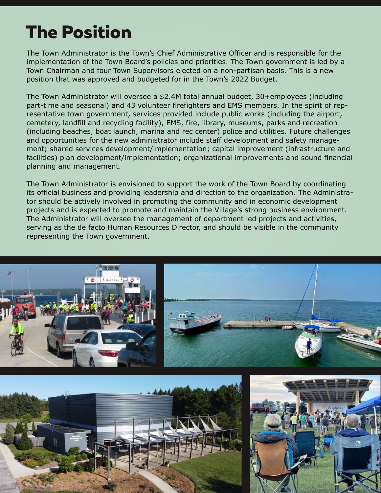## **The Position**

The Town Administrator is the Town's Chief Administrative Officer and is responsible for the implementation of the Town Board's policies and priorities. The Town government is led by a Town Chairman and four Town Supervisors elected on a non-partisan basis. This is a new position that was approved and budgeted for in the Town's 2022 Budget.

The Town Administrator will oversee a \$2.4M total annual budget, 30+employees (including part-time and seasonal) and 43 volunteer firefighters and EMS members. In the spirit of representative town government, services provided include public works (including the airport, cemetery, landfill and recycling facility), EMS, fire, library, museums, parks and recreation (including beaches, boat launch, marina and rec center) police and utilities. Future challenges and opportunities for the new administrator include staff development and safety management; shared services development/implementation; capital improvement (infrastructure and facilities) plan development/implementation; organizational improvements and sound financial planning and management.

The Town Administrator is envisioned to support the work of the Town Board by coordinating its official business and providing leadership and direction to the organization. The Administrator should be actively involved in promoting the community and in economic development projects and is expected to promote and maintain the Village's strong business environment. The Administrator will oversee the management of department led projects and activities, serving as the de facto Human Resources Director, and should be visible in the community representing the Town government.